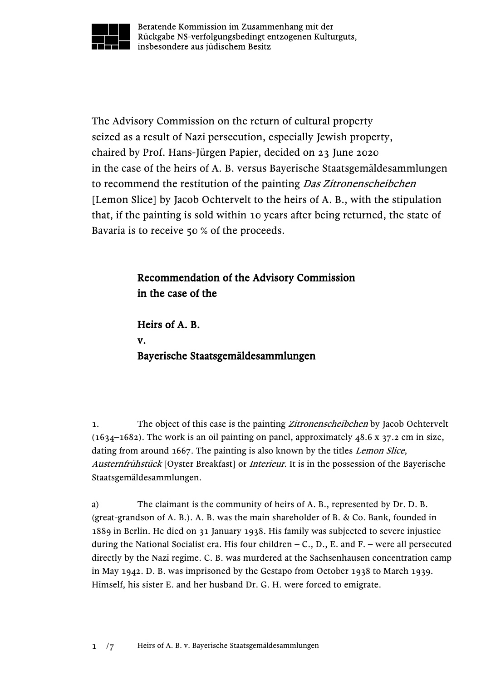

Beratende Kommission im Zusammenhang mit der Rückgabe NS-verfolgungsbedingt entzogenen Kulturguts, insbesondere aus jüdischem Besitz

The Advisory Commission on the return of cultural property seized as a result of Nazi persecution, especially Jewish property, chaired by Prof. Hans-Jürgen Papier, decided on 23 June 2020 in the case of the heirs of A. B. versus Bayerische Staatsgemäldesammlungen to recommend the restitution of the painting Das Zitronenscheibchen [Lemon Slice] by Jacob Ochtervelt to the heirs of A. B., with the stipulation that, if the painting is sold within 10 years after being returned, the state of Bavaria is to receive 50 % of the proceeds.

## Recommendation of the Advisory Commission in the case of the

Heirs of A. B. v. Bayerische Staatsgemäldesammlungen

1. The object of this case is the painting *Zitronenscheibchen* by Jacob Ochtervelt  $(1634-1682)$ . The work is an oil painting on panel, approximately 48.6 x 37.2 cm in size, dating from around 1667. The painting is also known by the titles *Lemon Slice*, Austernfrühstück [Oyster Breakfast] or *Interieur*. It is in the possession of the Bayerische Staatsgemäldesammlungen.

a) The claimant is the community of heirs of A. B., represented by Dr. D. B. (great-grandson of A. B.). A. B. was the main shareholder of B. & Co. Bank, founded in 1889 in Berlin. He died on 31 January 1938. His family was subjected to severe injustice during the National Socialist era. His four children  $-C<sub>1</sub>$ , D., E. and F. – were all persecuted directly by the Nazi regime. C. B. was murdered at the Sachsenhausen concentration camp in May 1942. D. B. was imprisoned by the Gestapo from October 1938 to March 1939. Himself, his sister E. and her husband Dr. G. H. were forced to emigrate.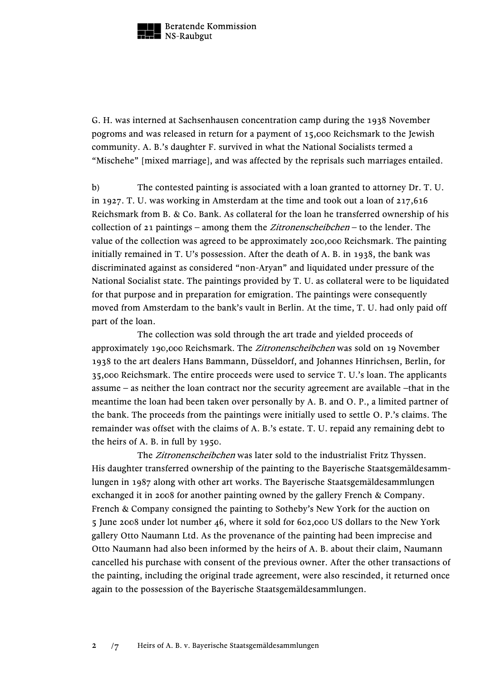

G. H. was interned at Sachsenhausen concentration camp during the 1938 November pogroms and was released in return for a payment of 15,000 Reichsmark to the Jewish community. A. B.'s daughter F. survived in what the National Socialists termed a "Mischehe" [mixed marriage], and was affected by the reprisals such marriages entailed.

b) The contested painting is associated with a loan granted to attorney Dr. T. U. in 1927. T. U. was working in Amsterdam at the time and took out a loan of  $217,616$ Reichsmark from B. & Co. Bank. As collateral for the loan he transferred ownership of his collection of 21 paintings – among them the *Zitronenscheibchen* – to the lender. The value of the collection was agreed to be approximately 200,000 Reichsmark. The painting initially remained in T. U's possession. After the death of A. B. in 1938, the bank was discriminated against as considered "non-Aryan" and liquidated under pressure of the National Socialist state. The paintings provided by T. U. as collateral were to be liquidated for that purpose and in preparation for emigration. The paintings were consequently moved from Amsterdam to the bank's vault in Berlin. At the time, T. U. had only paid off part of the loan.

The collection was sold through the art trade and yielded proceeds of approximately 190,000 Reichsmark. The Zitronenscheibchen was sold on 19 November 1938 to the art dealers Hans Bammann, Düsseldorf, and Johannes Hinrichsen, Berlin, for 35,000 Reichsmark. The entire proceeds were used to service T. U.'s loan. The applicants assume – as neither the loan contract nor the security agreement are available –that in the meantime the loan had been taken over personally by A. B. and O. P., a limited partner of the bank. The proceeds from the paintings were initially used to settle O. P.'s claims. The remainder was offset with the claims of A. B.'s estate. T. U. repaid any remaining debt to the heirs of A. B. in full by 1950.

The Zitronenscheibchen was later sold to the industrialist Fritz Thyssen. His daughter transferred ownership of the painting to the Bayerische Staatsgemäldesammlungen in 1987 along with other art works. The Bayerische Staatsgemäldesammlungen exchanged it in 2008 for another painting owned by the gallery French & Company. French & Company consigned the painting to Sotheby's New York for the auction on 5 June 2008 under lot number 46, where it sold for 602,000 US dollars to the New York gallery Otto Naumann Ltd. As the provenance of the painting had been imprecise and Otto Naumann had also been informed by the heirs of A. B. about their claim, Naumann cancelled his purchase with consent of the previous owner. After the other transactions of the painting, including the original trade agreement, were also rescinded, it returned once again to the possession of the Bayerische Staatsgemäldesammlungen.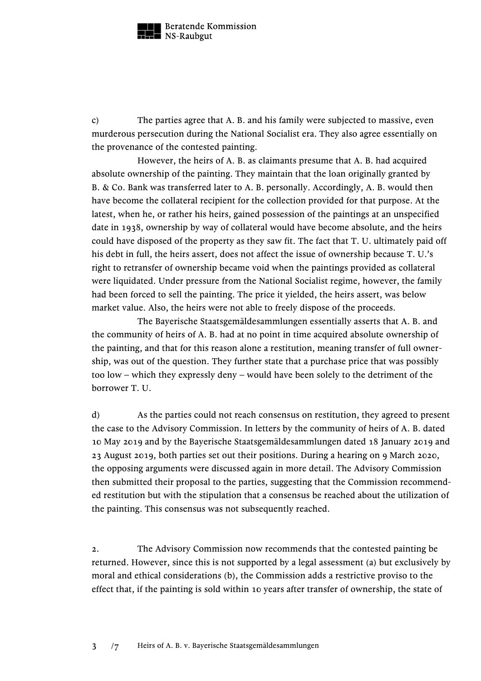

c) The parties agree that A. B. and his family were subjected to massive, even murderous persecution during the National Socialist era. They also agree essentially on the provenance of the contested painting.

However, the heirs of A. B. as claimants presume that A. B. had acquired absolute ownership of the painting. They maintain that the loan originally granted by B. & Co. Bank was transferred later to A. B. personally. Accordingly, A. B. would then have become the collateral recipient for the collection provided for that purpose. At the latest, when he, or rather his heirs, gained possession of the paintings at an unspecified date in 1938, ownership by way of collateral would have become absolute, and the heirs could have disposed of the property as they saw fit. The fact that T. U. ultimately paid off his debt in full, the heirs assert, does not affect the issue of ownership because T. U.'s right to retransfer of ownership became void when the paintings provided as collateral were liquidated. Under pressure from the National Socialist regime, however, the family had been forced to sell the painting. The price it yielded, the heirs assert, was below market value. Also, the heirs were not able to freely dispose of the proceeds.

The Bayerische Staatsgemäldesammlungen essentially asserts that A. B. and the community of heirs of A. B. had at no point in time acquired absolute ownership of the painting, and that for this reason alone a restitution, meaning transfer of full ownership, was out of the question. They further state that a purchase price that was possibly too low – which they expressly deny – would have been solely to the detriment of the borrower T. U.

d) As the parties could not reach consensus on restitution, they agreed to present the case to the Advisory Commission. In letters by the community of heirs of A. B. dated 10 May 2019 and by the Bayerische Staatsgemäldesammlungen dated 18 January 2019 and 23 August 2019, both parties set out their positions. During a hearing on 9 March 2020, the opposing arguments were discussed again in more detail. The Advisory Commission then submitted their proposal to the parties, suggesting that the Commission recommended restitution but with the stipulation that a consensus be reached about the utilization of the painting. This consensus was not subsequently reached.

2. The Advisory Commission now recommends that the contested painting be returned. However, since this is not supported by a legal assessment (a) but exclusively by moral and ethical considerations (b), the Commission adds a restrictive proviso to the effect that, if the painting is sold within 10 years after transfer of ownership, the state of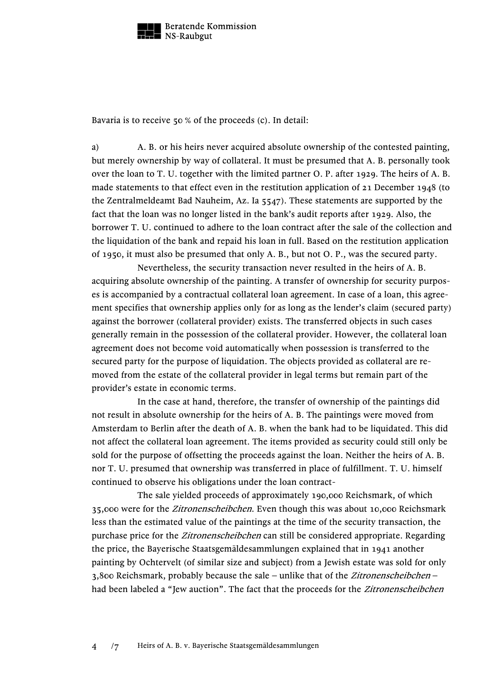

Bavaria is to receive 50 % of the proceeds (c). In detail:

a) A. B. or his heirs never acquired absolute ownership of the contested painting, but merely ownership by way of collateral. It must be presumed that A. B. personally took over the loan to T. U. together with the limited partner O. P. after 1929. The heirs of A. B. made statements to that effect even in the restitution application of 21 December 1948 (to the Zentralmeldeamt Bad Nauheim, Az. Ia 5547). These statements are supported by the fact that the loan was no longer listed in the bank's audit reports after 1929. Also, the borrower T. U. continued to adhere to the loan contract after the sale of the collection and the liquidation of the bank and repaid his loan in full. Based on the restitution application of 1950, it must also be presumed that only A. B., but not O. P., was the secured party.

Nevertheless, the security transaction never resulted in the heirs of A. B. acquiring absolute ownership of the painting. A transfer of ownership for security purposes is accompanied by a contractual collateral loan agreement. In case of a loan, this agreement specifies that ownership applies only for as long as the lender's claim (secured party) against the borrower (collateral provider) exists. The transferred objects in such cases generally remain in the possession of the collateral provider. However, the collateral loan agreement does not become void automatically when possession is transferred to the secured party for the purpose of liquidation. The objects provided as collateral are removed from the estate of the collateral provider in legal terms but remain part of the provider's estate in economic terms.

In the case at hand, therefore, the transfer of ownership of the paintings did not result in absolute ownership for the heirs of A. B. The paintings were moved from Amsterdam to Berlin after the death of A. B. when the bank had to be liquidated. This did not affect the collateral loan agreement. The items provided as security could still only be sold for the purpose of offsetting the proceeds against the loan. Neither the heirs of A. B. nor T. U. presumed that ownership was transferred in place of fulfillment. T. U. himself continued to observe his obligations under the loan contract-

The sale yielded proceeds of approximately 190,000 Reichsmark, of which 35,000 were for the Zitronenscheibchen. Even though this was about 10,000 Reichsmark less than the estimated value of the paintings at the time of the security transaction, the purchase price for the Zitronenscheibchen can still be considered appropriate. Regarding the price, the Bayerische Staatsgemäldesammlungen explained that in 1941 another painting by Ochtervelt (of similar size and subject) from a Jewish estate was sold for only 3,800 Reichsmark, probably because the sale – unlike that of the Zitronenscheibchen – had been labeled a "Jew auction". The fact that the proceeds for the Zitronenscheibchen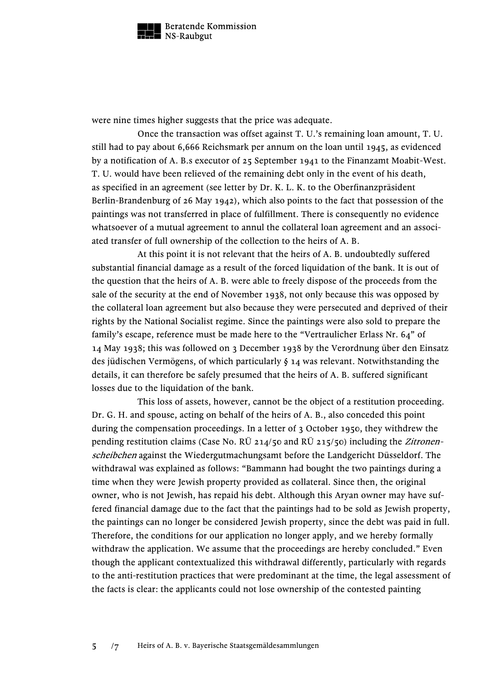

were nine times higher suggests that the price was adequate.

Once the transaction was offset against T. U.'s remaining loan amount, T. U. still had to pay about 6,666 Reichsmark per annum on the loan until 1945, as evidenced by a notification of A. B.s executor of 25 September 1941 to the Finanzamt Moabit-West. T. U. would have been relieved of the remaining debt only in the event of his death, as specified in an agreement (see letter by Dr. K. L. K. to the Oberfinanzpräsident Berlin-Brandenburg of 26 May 1942), which also points to the fact that possession of the paintings was not transferred in place of fulfillment. There is consequently no evidence whatsoever of a mutual agreement to annul the collateral loan agreement and an associated transfer of full ownership of the collection to the heirs of A. B.

At this point it is not relevant that the heirs of A. B. undoubtedly suffered substantial financial damage as a result of the forced liquidation of the bank. It is out of the question that the heirs of A. B. were able to freely dispose of the proceeds from the sale of the security at the end of November 1938, not only because this was opposed by the collateral loan agreement but also because they were persecuted and deprived of their rights by the National Socialist regime. Since the paintings were also sold to prepare the family's escape, reference must be made here to the "Vertraulicher Erlass Nr. 64" of 14 May 1938; this was followed on 3 December 1938 by the Verordnung über den Einsatz des jüdischen Vermögens, of which particularly § 14 was relevant. Notwithstanding the details, it can therefore be safely presumed that the heirs of A. B. suffered significant losses due to the liquidation of the bank.

This loss of assets, however, cannot be the object of a restitution proceeding. Dr. G. H. and spouse, acting on behalf of the heirs of A. B., also conceded this point during the compensation proceedings. In a letter of 3 October 1950, they withdrew the pending restitution claims (Case No. RÜ 214/50 and RÜ 215/50) including the Zitronenscheibchen against the Wiedergutmachungsamt before the Landgericht Düsseldorf. The withdrawal was explained as follows: "Bammann had bought the two paintings during a time when they were Jewish property provided as collateral. Since then, the original owner, who is not Jewish, has repaid his debt. Although this Aryan owner may have suffered financial damage due to the fact that the paintings had to be sold as Jewish property, the paintings can no longer be considered Jewish property, since the debt was paid in full. Therefore, the conditions for our application no longer apply, and we hereby formally withdraw the application. We assume that the proceedings are hereby concluded." Even though the applicant contextualized this withdrawal differently, particularly with regards to the anti-restitution practices that were predominant at the time, the legal assessment of the facts is clear: the applicants could not lose ownership of the contested painting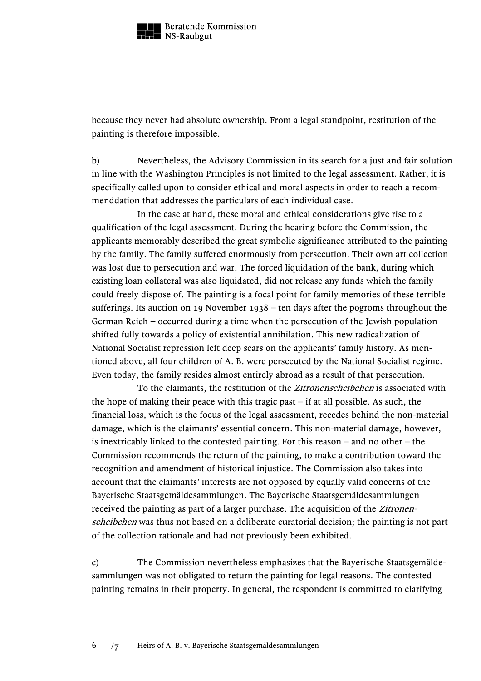

because they never had absolute ownership. From a legal standpoint, restitution of the painting is therefore impossible.

b) Nevertheless, the Advisory Commission in its search for a just and fair solution in line with the Washington Principles is not limited to the legal assessment. Rather, it is specifically called upon to consider ethical and moral aspects in order to reach a recommenddation that addresses the particulars of each individual case.

In the case at hand, these moral and ethical considerations give rise to a qualification of the legal assessment. During the hearing before the Commission, the applicants memorably described the great symbolic significance attributed to the painting by the family. The family suffered enormously from persecution. Their own art collection was lost due to persecution and war. The forced liquidation of the bank, during which existing loan collateral was also liquidated, did not release any funds which the family could freely dispose of. The painting is a focal point for family memories of these terrible sufferings. Its auction on 19 November 1938 – ten days after the pogroms throughout the German Reich – occurred during a time when the persecution of the Jewish population shifted fully towards a policy of existential annihilation. This new radicalization of National Socialist repression left deep scars on the applicants' family history. As mentioned above, all four children of A. B. were persecuted by the National Socialist regime. Even today, the family resides almost entirely abroad as a result of that persecution.

To the claimants, the restitution of the *Zitronenscheibchen* is associated with the hope of making their peace with this tragic past  $-$  if at all possible. As such, the financial loss, which is the focus of the legal assessment, recedes behind the non-material damage, which is the claimants' essential concern. This non-material damage, however, is inextricably linked to the contested painting. For this reason – and no other – the Commission recommends the return of the painting, to make a contribution toward the recognition and amendment of historical injustice. The Commission also takes into account that the claimants' interests are not opposed by equally valid concerns of the Bayerische Staatsgemäldesammlungen. The Bayerische Staatsgemäldesammlungen received the painting as part of a larger purchase. The acquisition of the *Zitronen*scheibchen was thus not based on a deliberate curatorial decision; the painting is not part of the collection rationale and had not previously been exhibited.

c) The Commission nevertheless emphasizes that the Bayerische Staatsgemäldesammlungen was not obligated to return the painting for legal reasons. The contested painting remains in their property. In general, the respondent is committed to clarifying